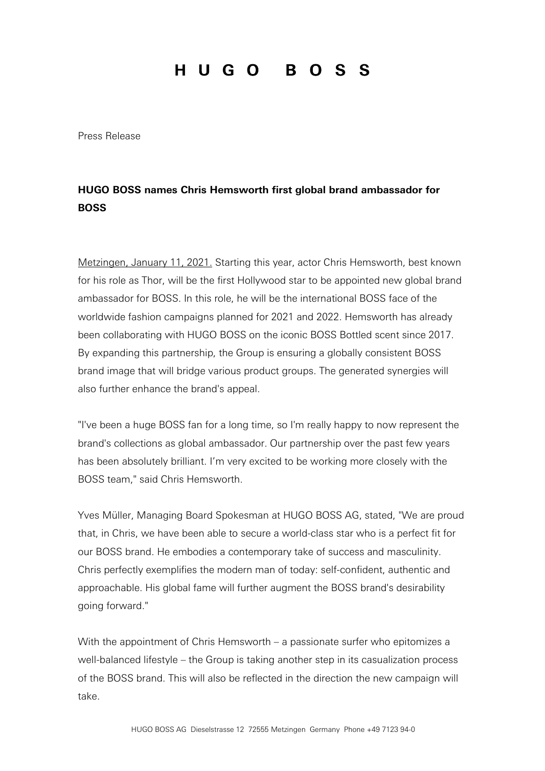## HUGO BOSS

Press Release

### **HUGO BOSS names Chris Hemsworth first global brand ambassador for BOSS**

Metzingen, January 11, 2021. Starting this year, actor Chris Hemsworth, best known for his role as Thor, will be the first Hollywood star to be appointed new global brand ambassador for BOSS. In this role, he will be the international BOSS face of the worldwide fashion campaigns planned for 2021 and 2022. Hemsworth has already been collaborating with HUGO BOSS on the iconic BOSS Bottled scent since 2017. By expanding this partnership, the Group is ensuring a globally consistent BOSS brand image that will bridge various product groups. The generated synergies will also further enhance the brand's appeal.

"I've been a huge BOSS fan for a long time, so I'm really happy to now represent the brand's collections as global ambassador. Our partnership over the past few years has been absolutely brilliant. I'm very excited to be working more closely with the BOSS team," said Chris Hemsworth.

Yves Müller, Managing Board Spokesman at HUGO BOSS AG, stated, "We are proud that, in Chris, we have been able to secure a world-class star who is a perfect fit for our BOSS brand. He embodies a contemporary take of success and masculinity. Chris perfectly exemplifies the modern man of today: self-confident, authentic and approachable. His global fame will further augment the BOSS brand's desirability going forward."

With the appointment of Chris Hemsworth – a passionate surfer who epitomizes a well-balanced lifestyle – the Group is taking another step in its casualization process of the BOSS brand. This will also be reflected in the direction the new campaign will take.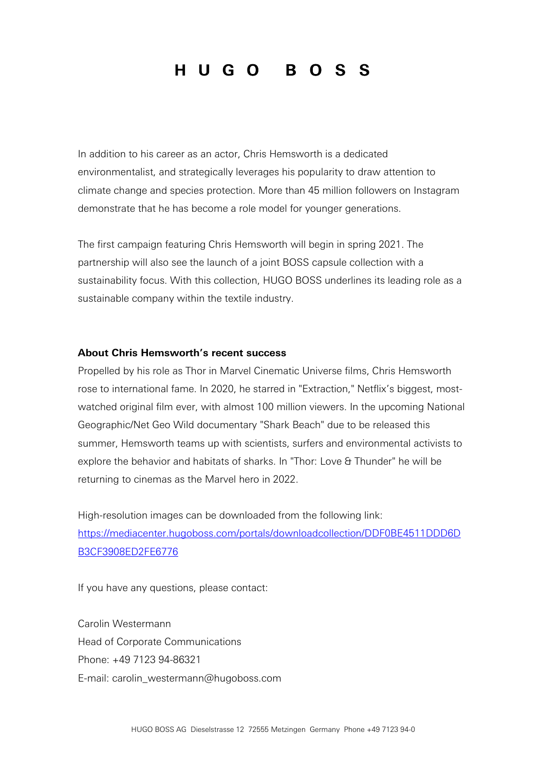## HUGO BOSS

In addition to his career as an actor, Chris Hemsworth is a dedicated environmentalist, and strategically leverages his popularity to draw attention to climate change and species protection. More than 45 million followers on Instagram demonstrate that he has become a role model for younger generations.

The first campaign featuring Chris Hemsworth will begin in spring 2021. The partnership will also see the launch of a joint BOSS capsule collection with a sustainability focus. With this collection, HUGO BOSS underlines its leading role as a sustainable company within the textile industry.

#### **About Chris Hemsworth's recent success**

Propelled by his role as Thor in Marvel Cinematic Universe films, Chris Hemsworth rose to international fame. In 2020, he starred in "Extraction," Netflix's biggest, mostwatched original film ever, with almost 100 million viewers. In the upcoming National Geographic/Net Geo Wild documentary "Shark Beach" due to be released this summer, Hemsworth teams up with scientists, surfers and environmental activists to explore the behavior and habitats of sharks. In "Thor: Love & Thunder" he will be returning to cinemas as the Marvel hero in 2022.

High-resolution images can be downloaded from the following link: [https://mediacenter.hugoboss.com/portals/downloadcollection/DDF0BE4511DDD6D](https://mediacenter.hugoboss.com/portals/downloadcollection/DDF0BE4511DDD6DB3CF3908ED2FE6776) [B3CF3908ED2FE6776](https://mediacenter.hugoboss.com/portals/downloadcollection/DDF0BE4511DDD6DB3CF3908ED2FE6776)

If you have any questions, please contact:

Carolin Westermann Head of Corporate Communications Phone: +49 7123 94-86321 E-mail: [carolin\\_westermann@hugoboss.com](mailto:carolin_westermann@hugoboss.com)